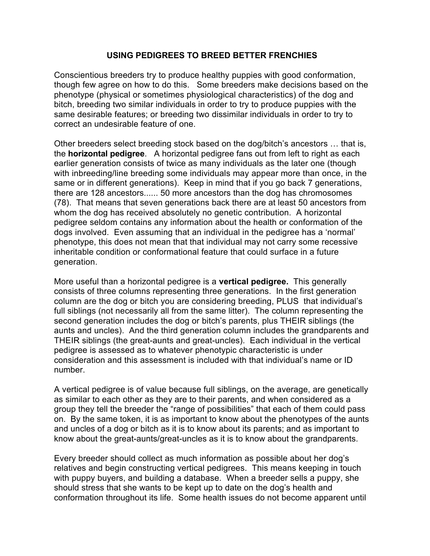## **USING PEDIGREES TO BREED BETTER FRENCHIES**

Conscientious breeders try to produce healthy puppies with good conformation, though few agree on how to do this. Some breeders make decisions based on the phenotype (physical or sometimes physiological characteristics) of the dog and bitch, breeding two similar individuals in order to try to produce puppies with the same desirable features; or breeding two dissimilar individuals in order to try to correct an undesirable feature of one.

Other breeders select breeding stock based on the dog/bitch's ancestors … that is, the **horizontal pedigree**. A horizontal pedigree fans out from left to right as each earlier generation consists of twice as many individuals as the later one (though with inbreeding/line breeding some individuals may appear more than once, in the same or in different generations). Keep in mind that if you go back 7 generations, there are 128 ancestors...... 50 more ancestors than the dog has chromosomes (78). That means that seven generations back there are at least 50 ancestors from whom the dog has received absolutely no genetic contribution. A horizontal pedigree seldom contains any information about the health or conformation of the dogs involved. Even assuming that an individual in the pedigree has a 'normal' phenotype, this does not mean that that individual may not carry some recessive inheritable condition or conformational feature that could surface in a future generation.

More useful than a horizontal pedigree is a **vertical pedigree.** This generally consists of three columns representing three generations. In the first generation column are the dog or bitch you are considering breeding, PLUS that individual's full siblings (not necessarily all from the same litter). The column representing the second generation includes the dog or bitch's parents, plus THEIR siblings (the aunts and uncles). And the third generation column includes the grandparents and THEIR siblings (the great-aunts and great-uncles). Each individual in the vertical pedigree is assessed as to whatever phenotypic characteristic is under consideration and this assessment is included with that individual's name or ID number.

A vertical pedigree is of value because full siblings, on the average, are genetically as similar to each other as they are to their parents, and when considered as a group they tell the breeder the "range of possibilities" that each of them could pass on. By the same token, it is as important to know about the phenotypes of the aunts and uncles of a dog or bitch as it is to know about its parents; and as important to know about the great-aunts/great-uncles as it is to know about the grandparents.

Every breeder should collect as much information as possible about her dog's relatives and begin constructing vertical pedigrees. This means keeping in touch with puppy buyers, and building a database. When a breeder sells a puppy, she should stress that she wants to be kept up to date on the dog's health and conformation throughout its life. Some health issues do not become apparent until